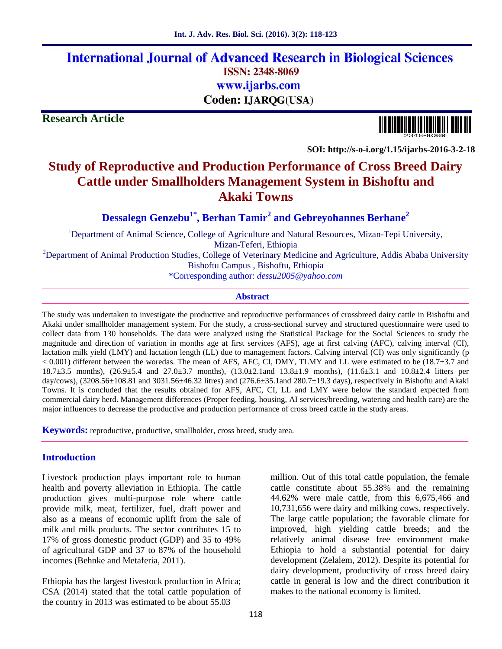# **International Journal of Advanced Research in Biological Sciences ISSN: 2348-8069** www.ijarbs.com Coden: IJARQG(USA)

**Research Article**

**SOI: http://s-o-i.org/1.15/ijarbs-2016-3-2-18**

# **Study of Reproductive and Production Performance of Cross Breed Dairy Cattle under Smallholders Management System in Bishoftu and Akaki Towns**

**Dessalegn Genzebu1\* , Berhan Tamir<sup>2</sup> and Gebreyohannes Berhane<sup>2</sup>**

<sup>1</sup>Department of Animal Science, College of Agriculture and Natural Resources, Mizan-Tepi University, Mizan-Teferi, Ethiopia

 $2D$ epartment of Animal Production Studies, College of Veterinary Medicine and Agriculture, Addis Ababa University Bishoftu Campus , Bishoftu, Ethiopia

\*Corresponding author: *dessu2005@yahoo.com*

#### **Abstract**

The study was undertaken to investigate the productive and reproductive performances of crossbreed dairy cattle in Bishoftu and Akaki under smallholder management system. For the study, a cross-sectional survey and structured questionnaire were used to collect data from 130 households. The data were analyzed using the Statistical Package for the Social Sciences to study the magnitude and direction of variation in months age at first services (AFS), age at first calving (AFC), calving interval (CI), lactation milk yield (LMY) and lactation length (LL) due to management factors. Calving interval (CI) was only significantly (p < 0.001) different between the woredas. The mean of AFS, AFC, CI, DMY, TLMY and LL were estimated to be (18.7±3.7 and 18.7±3.5 months), (26.9±5.4 and 27.0±3.7 months), (13.0±2.1and 13.8±1.9 months), (11.6±3.1 and 10.8±2.4 litters per day/cows),  $(3208.56\pm108.81$  and  $3031.56\pm46.32$  litres) and  $(276.6\pm35.1$  and  $280.7\pm19.3$  days), respectively in Bishoftu and Akaki Towns. It is concluded that the results obtained for AFS, AFC, CI, LL and LMY were below the standard expected from commercial dairy herd. Management differences (Proper feeding, housing, AI services/breeding, watering and health care) are the major influences to decrease the productive and production performance of cross breed cattle in the study areas.

**Keywords:** reproductive, productive, smallholder, cross breed, study area.

# **Introduction**

Livestock production plays important role to human health and poverty alleviation in Ethiopia. The cattle production gives multi-purpose role where cattle provide milk, meat, fertilizer, fuel, draft power and also as a means of economic uplift from the sale of milk and milk products. The sector contributes 15 to 17% of gross domestic product (GDP) and 35 to 49% of agricultural GDP and 37 to 87% of the household incomes (Behnke and Metaferia, 2011).

Ethiopia has the largest livestock production in Africa; CSA (2014) stated that the total cattle population of the country in 2013 was estimated to be about 55.03

million. Out of this total cattle population, the female cattle constitute about 55.38% and the remaining 44.62% were male cattle, from this 6,675,466 and 10,731,656 were dairy and milking cows, respectively. The large cattle population; the favorable climate for improved, high yielding cattle breeds; and the relatively animal disease free environment make Ethiopia to hold a substantial potential for dairy development (Zelalem, 2012). Despite its potential for dairy development, productivity of cross breed dairy cattle in general is low and the direct contribution it makes to the national economy is limited.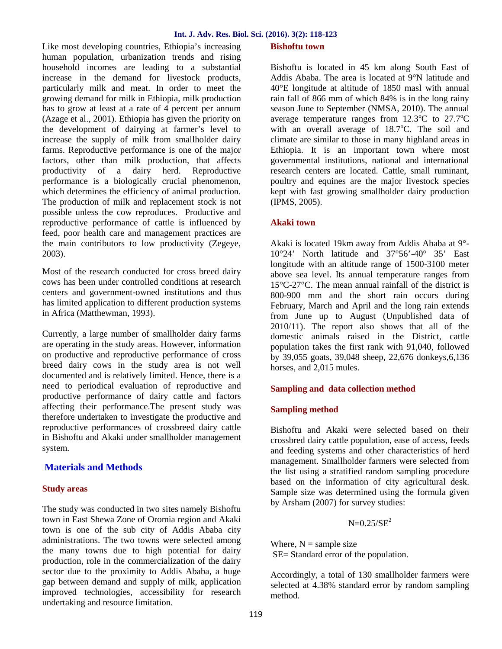Like most developing countries, Ethiopia's increasing human population, urbanization trends and rising household incomes are leading to a substantial increase in the demand for livestock products, particularly milk and meat. In order to meet the growing demand for milk in Ethiopia, milk production has to grow at least at a rate of 4 percent per annum (Azage et al., 2001). Ethiopia has given the priority on the development of dairying at farmer's level to increase the supply of milk from smallholder dairy farms. Reproductive performance is one of the major factors, other than milk production, that affects productivity of a dairy herd. Reproductive performance is a biologically crucial phenomenon, which determines the efficiency of animal production. The production of milk and replacement stock is not possible unless the cow reproduces. Productive and reproductive performance of cattle is influenced by feed, poor health care and management practices are the main contributors to low productivity (Zegeye, 2003).

Most of the research conducted for cross breed dairy cows has been under controlled conditions at research centers and government-owned institutions and thus has limited application to different production systems in Africa (Matthewman, 1993).

Currently, a large number of smallholder dairy farms are operating in the study areas. However, information on productive and reproductive performance of cross breed dairy cows in the study area is not well documented and is relatively limited. Hence, there is a need to periodical evaluation of reproductive and productive performance of dairy cattle and factors affecting their performance.The present study was therefore undertaken to investigate the productive and reproductive performances of crossbreed dairy cattle in Bishoftu and Akaki under smallholder management system.

# **Materials and Methods**

# **Study areas**

The study was conducted in two sites namely Bishoftu town in East Shewa Zone of Oromia region and Akaki town is one of the sub city of Addis Ababa city administrations. The two towns were selected among the many towns due to high potential for dairy production, role in the commercialization of the dairy sector due to the proximity to Addis Ababa, a huge gap between demand and supply of milk, application improved technologies, accessibility for research undertaking and resource limitation.

# **Bishoftu town**

Bishoftu is located in 45 km along South East of Addis Ababa. The area is located at 9°N latitude and 40°E longitude at altitude of 1850 masl with annual rain fall of 866 mm of which 84% is in the long rainy season June to September (NMSA, 2010). The annual average temperature ranges from  $12.3^{\circ}$ C to  $27.7^{\circ}$ C with an overall average of  $18.7^{\circ}$ C. The soil and climate are similar to those in many highland areas in Ethiopia. It is an important town where most governmental institutions, national and international research centers are located. Cattle, small ruminant, poultry and equines are the major livestock species kept with fast growing smallholder dairy production (IPMS, 2005).

# **Akaki town**

Akaki is located 19km away from Addis Ababa at 9°- 10°24' North latitude and 37°56'-40° 35' East longitude with an altitude range of 1500-3100 meter above sea level. Its annual temperature ranges from 15°C-27°C. The mean annual rainfall of the district is 800-900 mm and the short rain occurs during February, March and April and the long rain extends from June up to August (Unpublished data of 2010/11). The report also shows that all of the domestic animals raised in the District, cattle population takes the first rank with 91,040, followed by 39,055 goats, 39,048 sheep, 22,676 donkeys,6,136 horses, and 2,015 mules.

# **Sampling and data collection method**

# **Sampling method**

Bishoftu and Akaki were selected based on their crossbred dairy cattle population, ease of access, feeds and feeding systems and other characteristics of herd management. Smallholder farmers were selected from the list using a stratified random sampling procedure based on the information of city agricultural desk. Sample size was determined using the formula given by Arsham (2007) for survey studies:

 $N=0.25/SE^2$ 

Where,  $N =$  sample size SE= Standard error of the population.

Accordingly, a total of 130 smallholder farmers were selected at 4.38% standard error by random sampling method.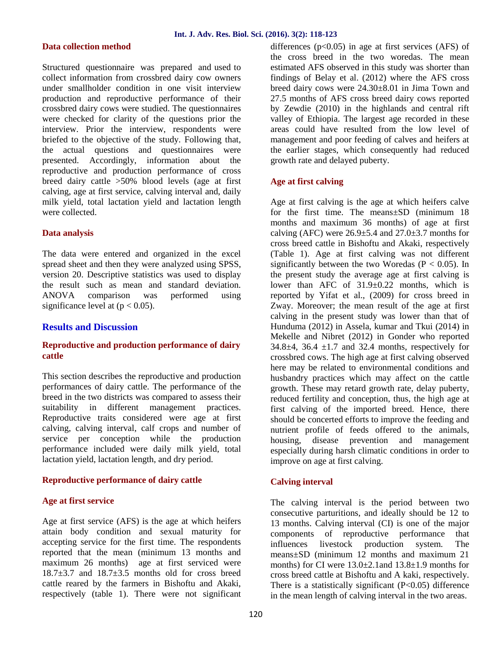## **Data collection method**

Structured questionnaire was prepared and used to collect information from crossbred dairy cow owners under smallholder condition in one visit interview production and reproductive performance of their crossbred dairy cows were studied. The questionnaires were checked for clarity of the questions prior the interview. Prior the interview, respondents were briefed to the objective of the study. Following that, the actual questions and questionnaires were presented. Accordingly, information about the reproductive and production performance of cross breed dairy cattle >50% blood levels (age at first calving, age at first service, calving interval and, daily milk yield, total lactation yield and lactation length were collected.

#### **Data analysis**

The data were entered and organized in the excel spread sheet and then they were analyzed using SPSS, version 20. Descriptive statistics was used to display the result such as mean and standard deviation. ANOVA comparison was performed using significance level at  $(p < 0.05)$ .

### **Results and Discussion**

# **Reproductive and production performance of dairy cattle**

This section describes the reproductive and production performances of dairy cattle. The performance of the breed in the two districts was compared to assess their suitability in different management practices. Reproductive traits considered were age at first calving, calving interval, calf crops and number of service per conception while the production housing. performance included were daily milk yield, total lactation yield, lactation length, and dry period.

#### **Reproductive performance of dairy cattle**

#### **Age at first service**

Age at first service (AFS) is the age at which heifers attain body condition and sexual maturity for accepting service for the first time. The respondents reported that the mean (minimum 13 months and maximum 26 months) age at first serviced were  $18.7\pm3.7$  and  $18.7\pm3.5$  months old for cross breed cattle reared by the farmers in Bishoftu and Akaki, respectively (table 1). There were not significant differences  $(p<0.05)$  in age at first services (AFS) of the cross breed in the two woredas. The mean estimated AFS observed in this study was shorter than findings of Belay et al. (2012) where the AFS cross breed dairy cows were 24.30±8.01 in Jima Town and 27.5 months of AFS cross breed dairy cows reported by Zewdie (2010) in the highlands and central rift valley of Ethiopia. The largest age recorded in these areas could have resulted from the low level of management and poor feeding of calves and heifers at the earlier stages, which consequently had reduced growth rate and delayed puberty.

#### **Age at first calving**

Age at first calving is the age at which heifers calve for the first time. The means±SD (minimum 18 months and maximum 36 months) of age at first calving (AFC) were  $26.9 \pm 5.4$  and  $27.0 \pm 3.7$  months for cross breed cattle in Bishoftu and Akaki, respectively (Table 1). Age at first calving was not different significantly between the two Woredas ( $P < 0.05$ ). In the present study the average age at first calving is lower than AFC of 31.9±0.22 months, which is reported by Yifat et al., (2009) for cross breed in Zway. Moreover; the mean result of the age at first calving in the present study was lower than that of Hunduma (2012) in Assela, kumar and Tkui (2014) in Mekelle and Nibret (2012) in Gonder who reported  $34.8\pm4$ ,  $36.4 \pm 1.7$  and  $32.4$  months, respectively for crossbred cows. The high age at first calving observed here may be related to environmental conditions and husbandry practices which may affect on the cattle growth. These may retard growth rate, delay puberty, reduced fertility and conception, thus, the high age at first calving of the imported breed. Hence, there should be concerted efforts to improve the feeding and nutrient profile of feeds offered to the animals, disease prevention and management especially during harsh climatic conditions in order to improve on age at first calving.

### **Calving interval**

The calving interval is the period between two consecutive parturitions, and ideally should be 12 to 13 months. Calving interval (CI) is one of the major components of reproductive performance that influences livestock production system. The means±SD (minimum 12 months and maximum 21 months) for CI were  $13.0\pm2.1$  and  $13.8\pm1.9$  months for cross breed cattle at Bishoftu and A kaki, respectively. There is a statistically significant  $(P<0.05)$  difference in the mean length of calving interval in the two areas.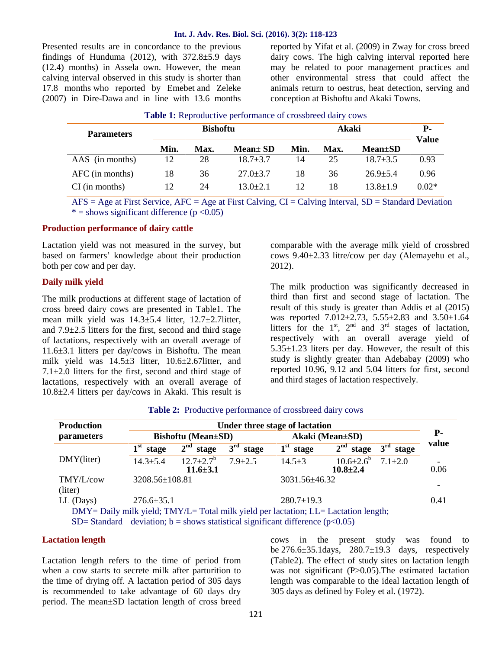#### **Int. J. Adv. Res. Biol. Sci. (2016). 3(2): 118-123**

Presented results are in concordance to the previous findings of Hunduma (2012), with  $372.8 \pm 5.9$  days (12.4) months) in Assela own. However, the mean calving interval observed in this study is shorter than 17.8 months who reported by Emebet and Zeleke (2007) in Dire-Dawa and in line with 13.6 months

reported by Yifat et al. (2009) in Zway for cross breed dairy cows. The high calving interval reported here may be related to poor management practices and other environmental stress that could affect the animals return to oestrus, heat detection, serving and conception at Bishoftu and Akaki Towns.

| <b>Parameters</b> | <b>Bishoftu</b> |             |                |      | <b>P</b> -<br><b>Value</b> |                |         |
|-------------------|-----------------|-------------|----------------|------|----------------------------|----------------|---------|
|                   | Min.            | <b>Max.</b> | $Mean \pm SD$  | Min. | Max.                       | $Mean \pm SD$  |         |
| AAS (in months)   | 12              | 28          | $18.7 + 3.7$   | 14   | 25                         | $18.7 \pm 3.5$ | 0.93    |
| $AFC$ (in months) | 18              | 36          | $27.0 \pm 3.7$ | 18   | 36                         | $26.9 \pm 5.4$ | 0.96    |
| $CI$ (in months)  | 12              | 24          | $13.0 \pm 2.1$ | 12   | 18                         | $13.8 \pm 1.9$ | $0.02*$ |
|                   |                 |             |                |      |                            |                |         |

**Table 1:** Reproductive performance of crossbreed dairy cows

AFS = Age at First Service, AFC = Age at First Calving, CI = Calving Interval, SD = Standard Deviation  $* =$  shows significant difference ( $p < 0.05$ )

#### **Production performance of dairy cattle**

Lactation yield was not measured in the survey, but based on farmers' knowledge about their production both per cow and per day.

#### **Daily milk yield**

The milk productions at different stage of lactation of cross breed dairy cows are presented in Table1. The mean milk yield was 14.3±5.4 litter, 12.7±2.7litter, and  $7.9\pm2.5$  litters for the first, second and third stage of lactations, respectively with an overall average of 11.6±3.1 litters per day/cows in Bishoftu. The mean milk yield was 14.5±3 litter, 10.6±2.67litter, and  $7.1 \pm 2.0$  litters for the first, second and third stage of lactations, respectively with an overall average of 10.8±2.4 litters per day/cows in Akaki. This result is

comparable with the average milk yield of crossbred cows 9.40±2.33 litre/cow per day (Alemayehu et al., 2012).

The milk production was significantly decreased in third than first and second stage of lactation. The result of this study is greater than Addis et al (2015) was reported 7.012±2.73, 5.55±2.83 and 3.50±1.64 litters for the  $1<sup>st</sup>$ ,  $2<sup>nd</sup>$  and  $3<sup>rd</sup>$  stages of lactation, respectively with an overall average yield of  $5.35\pm1.23$  liters per day. However, the result of this study is slightly greater than Adebabay (2009) who reported 10.96, 9.12 and 5.04 litters for first, second and third stages of lactation respectively.

| <b>Production</b> | Under three stage of lactation                                                      |                                               |               |                  |                                          |               |            |  |  |
|-------------------|-------------------------------------------------------------------------------------|-----------------------------------------------|---------------|------------------|------------------------------------------|---------------|------------|--|--|
| parameters        | <b>Bishoftu</b> (Mean±SD)                                                           |                                               |               | Akaki (Mean±SD)  |                                          |               | <b>P</b> - |  |  |
|                   | $1st$ stage                                                                         | $2nd$ stage                                   | $3rd$ stage   | $1st$ stage      | $2nd$ stage                              | $3rd$ stage   | value      |  |  |
| DMY(liter)        | $14.3 \pm 5.4$                                                                      | $12.7 \pm 2.7$ <sup>b</sup><br>$11.6 \pm 3.1$ | $7.9 \pm 2.5$ | $14.5 \pm 3$     | $10.6{\pm}2.6^{\circ}$<br>$10.8 \pm 2.4$ | $7.1 \pm 2.0$ | ٠<br>0.06  |  |  |
| TMY/L/cow         | 3208.56±108.81                                                                      |                                               |               | 3031.56±46.32    |                                          |               |            |  |  |
| (liter)           |                                                                                     |                                               |               |                  |                                          |               | -          |  |  |
| $LL$ (Days)       | $276.6 \pm 35.1$                                                                    |                                               |               | $280.7 \pm 19.3$ |                                          |               | 0.41       |  |  |
|                   | DMY= Daily milk yield; TMY/L= Total milk yield per lactation; LL= Lactation length; |                                               |               |                  |                                          |               |            |  |  |

#### **Table 2:** Productive performance of crossbreed dairy cows

SD= Standard deviation; b = shows statistical significant difference  $(p<0.05)$ 

#### **Lactation length**

Lactation length refers to the time of period from when a cow starts to secrete milk after parturition to the time of drying off. A lactation period of 305 days is recommended to take advantage of 60 days dry period. The mean±SD lactation length of cross breed

cows in the present study was found to be  $276.6\pm35.1$  days,  $280.7\pm19.3$  days, respectively (Table2). The effect of study sites on lactation length was not significant (P>0.05). The estimated lactation length was comparable to the ideal lactation length of 305 days as defined by Foley et al. (1972).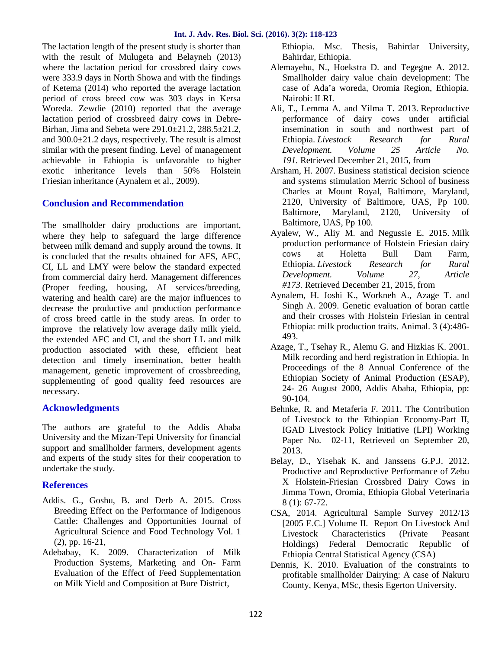The lactation length of the present study is shorter than with the result of Mulugeta and Belayneh (2013) where the lactation period for crossbred dairy cows were 333.9 days in North Showa and with the findings of Ketema (2014) who reported the average lactation period of cross breed cow was 303 days in Kersa Woreda. Zewdie (2010) reported that the average lactation period of crossbreed dairy cows in Debre- Birhan, Jima and Sebeta were 291.0±21.2, 288.5±21.2, and 300.0±21.2 days, respectively. The result is almost similar with the present finding. Level of management achievable in Ethiopia is unfavorable to higher exotic inheritance levels than 50% Holstein Friesian inheritance (Aynalem et al., 2009).

# **Conclusion and Recommendation**

The smallholder dairy productions are important, where they help to safeguard the large difference between milk demand and supply around the towns. It is concluded that the results obtained for AFS, AFC, CI, LL and LMY were below the standard expected from commercial dairy herd. Management differences (Proper feeding, housing, AI services/breeding, watering and health care) are the major influences to decrease the productive and production performance of cross breed cattle in the study areas. In order to improve the relatively low average daily milk yield, the extended AFC and CI, and the short LL and milk production associated with these, efficient heat detection and timely insemination, better health management, genetic improvement of crossbreeding, supplementing of good quality feed resources are necessary.

# **Acknowledgments**

The authors are grateful to the Addis Ababa University and the Mizan-Tepi University for financial support and smallholder farmers, development agents and experts of the study sites for their cooperation to undertake the study.

# **References**

- Addis. G., Goshu, B. and Derb A. 2015. Cross Breeding Effect on the Performance of Indigenous Cattle: Challenges and Opportunities Journal of Agricultural Science and Food Technology Vol. 1 (2), pp. 16-21,
- Adebabay, K. 2009. Characterization of Milk Production Systems, Marketing and On- Farm Evaluation of the Effect of Feed Supplementation on Milk Yield and Composition at Bure District,

Ethiopia. Msc. Thesis, Bahirdar University, Bahirdar, Ethiopia.

- Alemayehu, N., Hoekstra D. and Tegegne A. 2012. Smallholder dairy value chain development: The case of Ada'a woreda, Oromia Region, Ethiopia. Nairobi: ILRI.
- Ali, T., Lemma A. and Yilma T. 2013. Reproductive performance of dairy cows under artificial insemination in south and northwest part of Ethiopia. *Livestock Research for Rural Development. Volume 25 Article No. 191.* Retrieved December 21, 2015, from
- Arsham, H. 2007. Business statistical decision science and systems stimulation Merric School of business Charles at Mount Royal, Baltimore, Maryland, 2120, University of Baltimore, UAS, Pp 100. Baltimore, Maryland, 2120, University of Baltimore, UAS, Pp 100.
- Ayalew, W., Aliy M. and Negussie E. 2015. Milk production performance of Holstein Friesian dairy cows at Holetta Bull Dam Farm, Ethiopia. *Livestock Research for Rural Development. Volume 27, Article #173.* Retrieved December 21, 2015, from
- Aynalem, H. Joshi K., Workneh A., Azage T. and Singh A. 2009. Genetic evaluation of boran cattle and their crosses with Holstein Friesian in central Ethiopia: milk production traits. Animal. 3 (4):486- 493.
- Azage, T., Tsehay R., Alemu G. and Hizkias K. 2001. Milk recording and herd registration in Ethiopia. In Proceedings of the 8 Annual Conference of the Ethiopian Society of Animal Production (ESAP), 24- 26 August 2000, Addis Ababa, Ethiopia, pp: 90-104.
- Behnke, R. and Metaferia F. 2011. The Contribution of Livestock to the Ethiopian Economy-Part II, IGAD Livestock Policy Initiative (LPI) Working Paper No. 02-11, Retrieved on September 20, 2013.
- Belay, D., Yisehak K. and Janssens G.P.J. 2012. Productive and Reproductive Performance of Zebu X Holstein-Friesian Crossbred Dairy Cows in Jimma Town, Oromia, Ethiopia Global Veterinaria 8 (1): 67-72.
- CSA, 2014. Agricultural Sample Survey 2012/13 [2005 E.C.] Volume II. Report On Livestock And Livestock Characteristics (Private Peasant Holdings) Federal Democratic Republic of Ethiopia Central Statistical Agency (CSA)
- Dennis, K. 2010. Evaluation of the constraints to profitable smallholder Dairying: A case of Nakuru County, Kenya, MSc, thesis Egerton University.